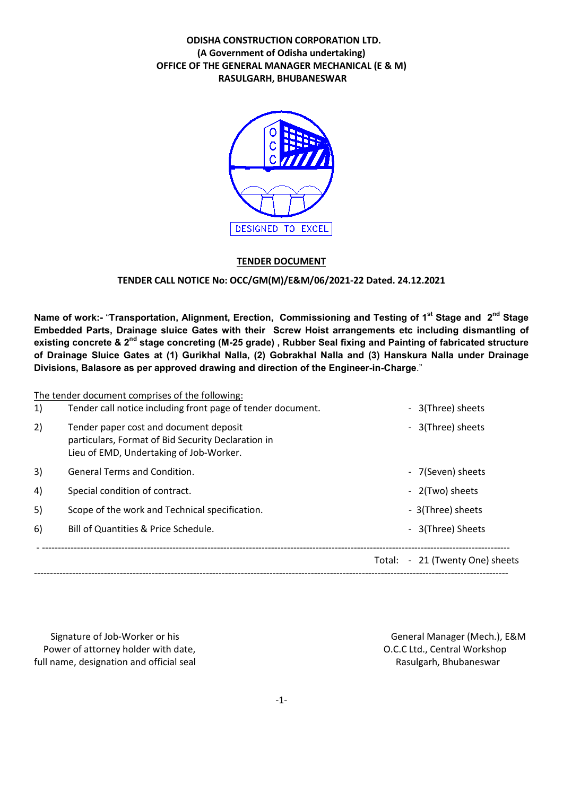# ODISHA CONSTRUCTION CORPORATION LTD. (A Government of Odisha undertaking) OFFICE OF THE GENERAL MANAGER MECHANICAL (E & M) RASULGARH, BHUBANESWAR



### TENDER DOCUMENT

### TENDER CALL NOTICE No: OCC/GM(M)/E&M/06/2021-22 Dated. 24.12.2021

Name of work:- "Transportation, Alignment, Erection, Commissioning and Testing of 1<sup>st</sup> Stage and 2<sup>nd</sup> Stage Embedded Parts, Drainage sluice Gates with their Screw Hoist arrangements etc including dismantling of existing concrete & 2<sup>nd</sup> stage concreting (M-25 grade), Rubber Seal fixing and Painting of fabricated structure of Drainage Sluice Gates at (1) Gurikhal Nalla, (2) Gobrakhal Nalla and (3) Hanskura Nalla under Drainage Divisions, Balasore as per approved drawing and direction of the Engineer-in-Charge."

|    | The tender document comprises of the following:                                                                                         |                                 |
|----|-----------------------------------------------------------------------------------------------------------------------------------------|---------------------------------|
| 1) | Tender call notice including front page of tender document.                                                                             | - 3(Three) sheets               |
| 2) | Tender paper cost and document deposit<br>particulars, Format of Bid Security Declaration in<br>Lieu of EMD, Undertaking of Job-Worker. | - 3(Three) sheets               |
| 3) | <b>General Terms and Condition.</b>                                                                                                     | - 7(Seven) sheets               |
| 4) | Special condition of contract.                                                                                                          | - 2(Two) sheets                 |
| 5) | Scope of the work and Technical specification.                                                                                          | - 3(Three) sheets               |
| 6) | Bill of Quantities & Price Schedule.                                                                                                    | - 3(Three) Sheets               |
|    |                                                                                                                                         | Total: - 21 (Twenty One) sheets |
|    |                                                                                                                                         |                                 |

Signature of Job-Worker or his General Manager (Mech.), E&M Power of attorney holder with date,  $O.C.C.L.d., Central Workshop$ full name, designation and official seal Rasulgarh, Bhubaneswar Rasulgarh, Bhubaneswar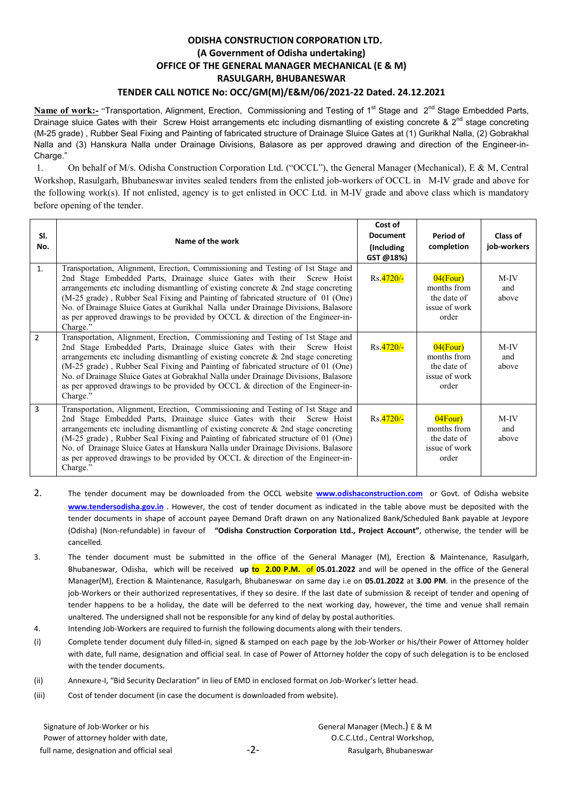# ODISHA CONSTRUCTION CORPORATION LTD. (A Government of Odisha undertaking) OFFICE OF THE GENERAL MANAGER MECHANICAL (E & M) RASULGARH, BHUBANESWAR TENDER CALL NOTICE No: OCC/GM(M)/E&M/06/2021-22 Dated. 24.12.2021

Name of work:- "Transportation, Alignment, Erection, Commissioning and Testing of 1<sup>st</sup> Stage and 2<sup>nd</sup> Stage Embedded Parts, Drainage sluice Gates with their Screw Hoist arrangements etc including dismantling of existing concrete &  $2^{nd}$  stage concreting (M-25 grade) , Rubber Seal Fixing and Painting of fabricated structure of Drainage Sluice Gates at (1) Gurikhal Nalla, (2) Gobrakhal Nalla and (3) Hanskura Nalla under Drainage Divisions, Balasore as per approved drawing and direction of the Engineer-in-Charge."

1. On behalf of M/s. Odisha Construction Corporation Ltd. ("OCCL"), the General Manager (Mechanical), E & M, Central Workshop, Rasulgarh, Bhubaneswar invites sealed tenders from the enlisted job-workers of OCCL in M-IV grade and above for the following work(s). If not enlisted, agency is to get enlisted in OCC Ltd. in M-IV grade and above class which is mandatory before opening of the tender.

| SI.<br>No.     | Name of the work                                                                                                                                                                                                                                                                                                                                                                                                                                                                                                                   | Cost of<br><b>Document</b><br>(Including<br>GST @18%) | Period of<br>completion                                             | Class of<br>job-workers |
|----------------|------------------------------------------------------------------------------------------------------------------------------------------------------------------------------------------------------------------------------------------------------------------------------------------------------------------------------------------------------------------------------------------------------------------------------------------------------------------------------------------------------------------------------------|-------------------------------------------------------|---------------------------------------------------------------------|-------------------------|
| $\mathbf{1}$ . | Transportation, Alignment, Erection, Commissioning and Testing of 1st Stage and<br>2nd Stage Embedded Parts, Drainage sluice Gates with their<br>Screw Hoist<br>arrangements etc including dismantling of existing concrete $\&$ 2nd stage concreting<br>(M-25 grade), Rubber Seal Fixing and Painting of fabricated structure of 01 (One)<br>No. of Drainage Sluice Gates at Gurikhal Nalla under Drainage Divisions, Balasore<br>as per approved drawings to be provided by OCCL $\&$ direction of the Engineer-in-<br>Charge."  | Rs. 4720/-                                            | $04$ (Four)<br>months from<br>the date of<br>issue of work<br>order | $M-IV$<br>and<br>above  |
| $\overline{2}$ | Transportation, Alignment, Erection, Commissioning and Testing of 1st Stage and<br>2nd Stage Embedded Parts, Drainage sluice Gates with their<br>Screw Hoist<br>arrangements etc including dismantling of existing concrete $\&$ 2nd stage concreting<br>(M-25 grade), Rubber Seal Fixing and Painting of fabricated structure of 01 (One)<br>No. of Drainage Sluice Gates at Gobrakhal Nalla under Drainage Divisions, Balasore<br>as per approved drawings to be provided by OCCL $\&$ direction of the Engineer-in-<br>Charge." | Rs. 4720/-                                            | $04$ (Four)<br>months from<br>the date of<br>issue of work<br>order | $M-IV$<br>and<br>above  |
| $\overline{3}$ | Transportation, Alignment, Erection, Commissioning and Testing of 1st Stage and<br>2nd Stage Embedded Parts, Drainage sluice Gates with their<br>Screw Hoist<br>arrangements etc including dismantling of existing concrete $\&$ 2nd stage concreting<br>(M-25 grade), Rubber Seal Fixing and Painting of fabricated structure of 01 (One)<br>No. of Drainage Sluice Gates at Hanskura Nalla under Drainage Divisions, Balasore<br>as per approved drawings to be provided by OCCL & direction of the Engineer-in-<br>Charge."     | Rs.4720/-                                             | $04$ Four)<br>months from<br>the date of<br>issue of work<br>order  | $M-IV$<br>and<br>above  |

- 2. The tender document may be downloaded from the OCCL website [www.odishaconstruction.com](http://www.odishaconstruction.com/) or Govt. of Odisha website [www.tendersodisha.gov.in](http://www.tendersodisha.gov.in/) . However, the cost of tender document as indicated in the table above must be deposited with the tender documents in shape of account payee Demand Draft drawn on any Nationalized Bank/Scheduled Bank payable at Jeypore (Odisha) (Non-refundable) in favour of "Odisha Construction Corporation Ltd., Project Account", otherwise, the tender will be cancelled.
- 3. The tender document must be submitted in the office of the General Manager (M), Erection & Maintenance, Rasulgarh, Bhubaneswar, Odisha, which will be received up to 2.00 P.M. of 05.01.2022 and will be opened in the office of the General Manager(M), Erection & Maintenance, Rasulgarh, Bhubaneswar on same day i.e on 05.01.2022 at 3.00 PM. in the presence of the job-Workers or their authorized representatives, if they so desire. If the last date of submission & receipt of tender and opening of tender happens to be a holiday, the date will be deferred to the next working day, however, the time and venue shall remain unaltered. The undersigned shall not be responsible for any kind of delay by postal authorities.
- 4. Intending Job-Workers are required to furnish the following documents along with their tenders.
- (i) Complete tender document duly filled-in, signed & stamped on each page by the Job-Worker or his/their Power of Attorney holder with date, full name, designation and official seal. In case of Power of Attorney holder the copy of such delegation is to be enclosed with the tender documents.
- (ii) Annexure-I, "Bid Security Declaration" in lieu of EMD in enclosed format on Job-Worker's letter head.
- (iii) Cost of tender document (in case the document is downloaded from website).

Signature of Job-Worker or his **Signature of Job-Worker or his General Manager (Mech.)** E & M Power of attorney holder with date,  $O.C.C.L.d.,$  Central Workshop, full name, designation and official seal  $-2 -2-$  Rasulgarh, Bhubaneswar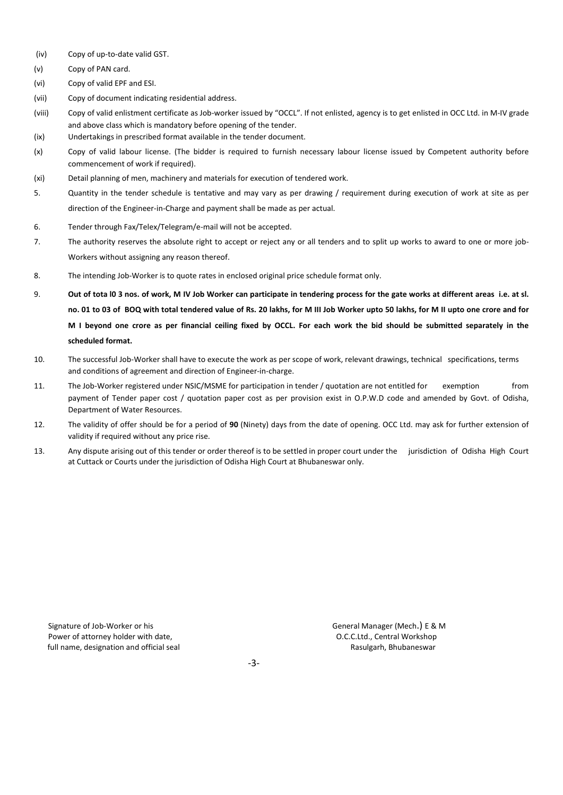- (iv) Copy of up-to-date valid GST.
- (v) Copy of PAN card.
- (vi) Copy of valid EPF and ESI.
- (vii) Copy of document indicating residential address.
- (viii) Copy of valid enlistment certificate as Job-worker issued by "OCCL". If not enlisted, agency is to get enlisted in OCC Ltd. in M-IV grade and above class which is mandatory before opening of the tender.
- (ix) Undertakings in prescribed format available in the tender document.
- (x) Copy of valid labour license. (The bidder is required to furnish necessary labour license issued by Competent authority before commencement of work if required).
- (xi) Detail planning of men, machinery and materials for execution of tendered work.
- 5. Quantity in the tender schedule is tentative and may vary as per drawing / requirement during execution of work at site as per direction of the Engineer-in-Charge and payment shall be made as per actual.
- 6. Tender through Fax/Telex/Telegram/e-mail will not be accepted.
- 7. The authority reserves the absolute right to accept or reject any or all tenders and to split up works to award to one or more job-Workers without assigning any reason thereof.
- 8. The intending Job-Worker is to quote rates in enclosed original price schedule format only.
- 9. Out of tota l0 3 nos. of work, M IV Job Worker can participate in tendering process for the gate works at different areas i.e. at sl. no. 01 to 03 of BOQ with total tendered value of Rs. 20 lakhs, for M III Job Worker upto 50 lakhs, for M II upto one crore and for M I beyond one crore as per financial ceiling fixed by OCCL. For each work the bid should be submitted separately in the scheduled format.
- 10. The successful Job-Worker shall have to execute the work as per scope of work, relevant drawings, technical specifications, terms and conditions of agreement and direction of Engineer-in-charge.
- 11. The Job-Worker registered under NSIC/MSME for participation in tender / quotation are not entitled for exemption from payment of Tender paper cost / quotation paper cost as per provision exist in O.P.W.D code and amended by Govt. of Odisha, Department of Water Resources.
- 12. The validity of offer should be for a period of 90 (Ninety) days from the date of opening. OCC Ltd. may ask for further extension of validity if required without any price rise.
- 13. Any dispute arising out of this tender or order thereof is to be settled in proper court under the jurisdiction of Odisha High Court at Cuttack or Courts under the jurisdiction of Odisha High Court at Bhubaneswar only.

Signature of Job-Worker or his General Manager (Mech.) E & M Power of attorney holder with date,  $O.C.C.L.d.,$  Central Workshop C.C.Ltd., Central Workshop C.C.Ltd., Central Workshop full name, designation and official seal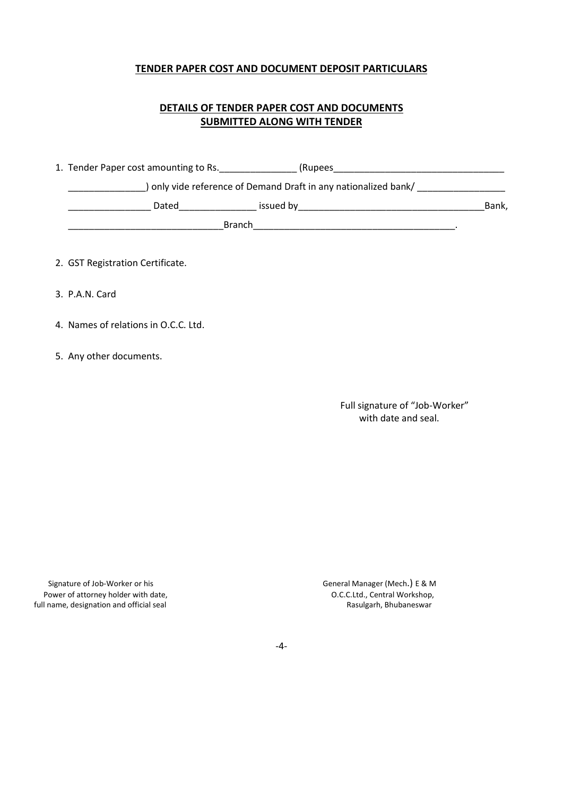## TENDER PAPER COST AND DOCUMENT DEPOSIT PARTICULARS

# DETAILS OF TENDER PAPER COST AND DOCUMENTS SUBMITTED ALONG WITH TENDER

1. Tender Paper cost amounting to Rs.\_\_\_\_\_\_\_\_\_\_\_\_\_\_\_ (Rupees\_\_\_\_\_\_\_\_\_\_\_\_\_\_\_\_\_\_\_\_\_\_\_\_\_\_\_\_\_\_\_\_\_ \_\_\_\_\_\_\_\_\_\_\_\_\_\_\_) only vide reference of Demand Draft in any nationalized bank/ \_\_\_\_\_\_\_\_\_\_\_\_\_\_\_\_\_ \_\_\_\_\_\_\_\_\_\_\_\_\_\_\_\_ Dated\_\_\_\_\_\_\_\_\_\_\_\_\_\_\_ issued by\_\_\_\_\_\_\_\_\_\_\_\_\_\_\_\_\_\_\_\_\_\_\_\_\_\_\_\_\_\_\_\_\_\_\_\_Bank, and the Branch state of the state of the state of the state of the state of the state of the state of the state of the state of the state of the state of the state of the state of the state of the state of the state of the

2. GST Registration Certificate.

- 3. P.A.N. Card
- 4. Names of relations in O.C.C. Ltd.
- 5. Any other documents.

Full signature of "Job-Worker" with date and seal.

Power of attorney holder with date,<br>
I name, designation and official seal<br>
I name, designation and official seal<br>
Sasulgarh, Bhubaneswar full name, designation and official seal

Signature of Job-Worker or his General Manager (Mech.) E & M

-4-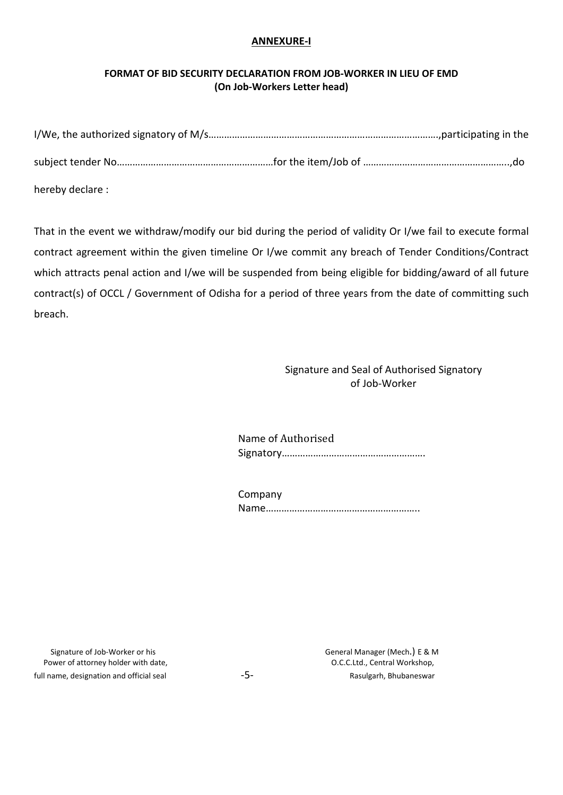# ANNEXURE-I

# FORMAT OF BID SECURITY DECLARATION FROM JOB-WORKER IN LIEU OF EMD (On Job-Workers Letter head)

| hereby declare: |  |  |
|-----------------|--|--|

That in the event we withdraw/modify our bid during the period of validity Or I/we fail to execute formal contract agreement within the given timeline Or I/we commit any breach of Tender Conditions/Contract which attracts penal action and I/we will be suspended from being eligible for bidding/award of all future contract(s) of OCCL / Government of Odisha for a period of three years from the date of committing such breach.

> Signature and Seal of Authorised Signatory of Job-Worker

Name of Authorised Signatory……………………………………………….

| Company |  |
|---------|--|
|         |  |

 Signature of Job-Worker or his General Manager (Mech.) E & M Power of attorney holder with date,  $O.C.C.L.d.,$  Central Workshop, full name, designation and official seal example  $-5 -5-$  Rasulgarh, Bhubaneswar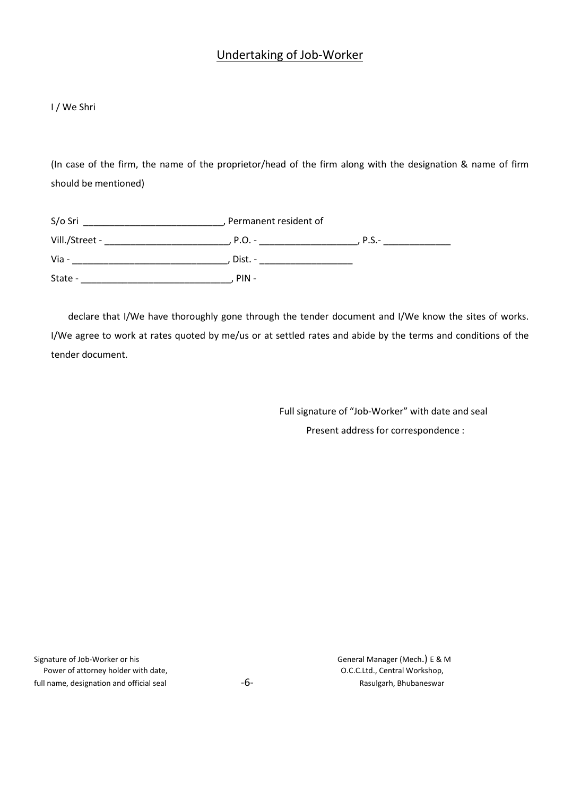# Undertaking of Job-Worker

### I / We Shri

(In case of the firm, the name of the proprietor/head of the firm along with the designation & name of firm should be mentioned)

| S/o Sri        |           | Permanent resident of |  |  |  |  |
|----------------|-----------|-----------------------|--|--|--|--|
| Vill./Street - | . P.O. -  | $P.S.-$               |  |  |  |  |
| Via -          | , Dist. - |                       |  |  |  |  |
| State -        | $PIN -$   |                       |  |  |  |  |

declare that I/We have thoroughly gone through the tender document and I/We know the sites of works. I/We agree to work at rates quoted by me/us or at settled rates and abide by the terms and conditions of the tender document.

> Full signature of "Job-Worker" with date and seal Present address for correspondence :

| Signature of Job-Worker or his           |
|------------------------------------------|
| Power of attorney holder with date,      |
| full name, designation and official seal |

General Manager (Mech.) E & M O.C.C.Ltd., Central Workshop, ignation and official seal  $-6 -$  Rasulgarh, Bhubaneswar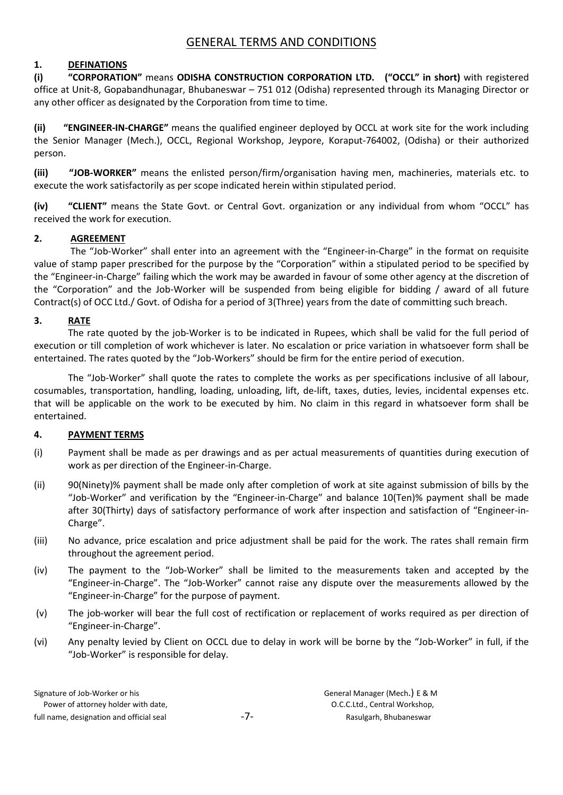# GENERAL TERMS AND CONDITIONS

# 1. DEFINATIONS

(i) "CORPORATION" means ODISHA CONSTRUCTION CORPORATION LTD. ("OCCL" in short) with registered office at Unit-8, Gopabandhunagar, Bhubaneswar – 751 012 (Odisha) represented through its Managing Director or any other officer as designated by the Corporation from time to time.

(ii) "ENGINEER-IN-CHARGE" means the qualified engineer deployed by OCCL at work site for the work including the Senior Manager (Mech.), OCCL, Regional Workshop, Jeypore, Koraput-764002, (Odisha) or their authorized person.

(iii) "JOB-WORKER" means the enlisted person/firm/organisation having men, machineries, materials etc. to execute the work satisfactorily as per scope indicated herein within stipulated period.

(iv) "CLIENT" means the State Govt. or Central Govt. organization or any individual from whom "OCCL" has received the work for execution.

# 2. AGREEMENT

The "Job-Worker" shall enter into an agreement with the "Engineer-in-Charge" in the format on requisite value of stamp paper prescribed for the purpose by the "Corporation" within a stipulated period to be specified by the "Engineer-in-Charge" failing which the work may be awarded in favour of some other agency at the discretion of the "Corporation" and the Job-Worker will be suspended from being eligible for bidding / award of all future Contract(s) of OCC Ltd./ Govt. of Odisha for a period of 3(Three) years from the date of committing such breach.

### 3. RATE

The rate quoted by the job-Worker is to be indicated in Rupees, which shall be valid for the full period of execution or till completion of work whichever is later. No escalation or price variation in whatsoever form shall be entertained. The rates quoted by the "Job-Workers" should be firm for the entire period of execution.

The "Job-Worker" shall quote the rates to complete the works as per specifications inclusive of all labour, cosumables, transportation, handling, loading, unloading, lift, de-lift, taxes, duties, levies, incidental expenses etc. that will be applicable on the work to be executed by him. No claim in this regard in whatsoever form shall be entertained.

# 4. PAYMENT TERMS

- (i) Payment shall be made as per drawings and as per actual measurements of quantities during execution of work as per direction of the Engineer-in-Charge.
- (ii) 90(Ninety)% payment shall be made only after completion of work at site against submission of bills by the "Job-Worker" and verification by the "Engineer-in-Charge" and balance 10(Ten)% payment shall be made after 30(Thirty) days of satisfactory performance of work after inspection and satisfaction of "Engineer-in-Charge".
- (iii) No advance, price escalation and price adjustment shall be paid for the work. The rates shall remain firm throughout the agreement period.
- (iv) The payment to the "Job-Worker" shall be limited to the measurements taken and accepted by the "Engineer-in-Charge". The "Job-Worker" cannot raise any dispute over the measurements allowed by the "Engineer-in-Charge" for the purpose of payment.
- (v) The job-worker will bear the full cost of rectification or replacement of works required as per direction of "Engineer-in-Charge".
- (vi) Any penalty levied by Client on OCCL due to delay in work will be borne by the "Job-Worker" in full, if the "Job-Worker" is responsible for delay.

| Signature of Job-Worker or his           |       | General Manager (Mech.) E & M |
|------------------------------------------|-------|-------------------------------|
| Power of attorney holder with date,      |       | O.C.C.Ltd., Central Workshop, |
| full name, designation and official seal | $-7-$ | Rasulgarh, Bhubaneswar        |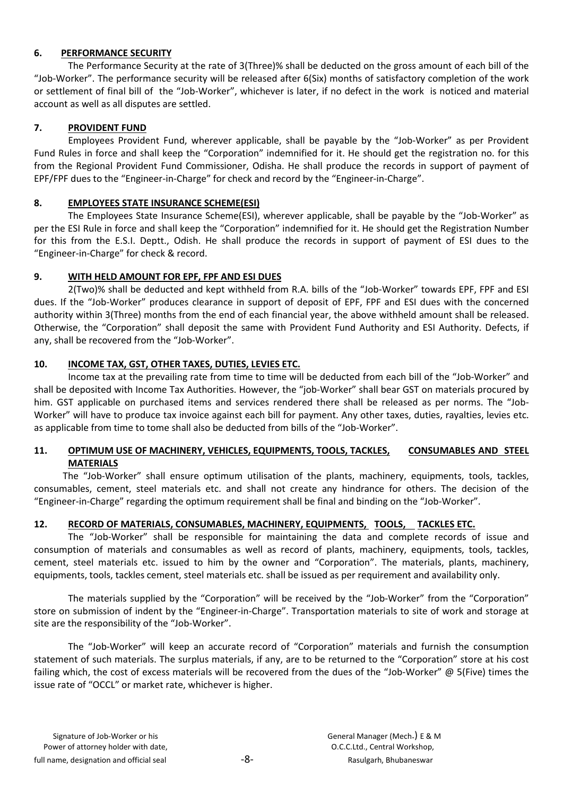# 6. PERFORMANCE SECURITY

The Performance Security at the rate of 3(Three)% shall be deducted on the gross amount of each bill of the "Job-Worker". The performance security will be released after 6(Six) months of satisfactory completion of the work or settlement of final bill of the "Job-Worker", whichever is later, if no defect in the work is noticed and material account as well as all disputes are settled.

# 7. PROVIDENT FUND

Employees Provident Fund, wherever applicable, shall be payable by the "Job-Worker" as per Provident Fund Rules in force and shall keep the "Corporation" indemnified for it. He should get the registration no. for this from the Regional Provident Fund Commissioner, Odisha. He shall produce the records in support of payment of EPF/FPF dues to the "Engineer-in-Charge" for check and record by the "Engineer-in-Charge".

# 8. EMPLOYEES STATE INSURANCE SCHEME(ESI)

The Employees State Insurance Scheme(ESI), wherever applicable, shall be payable by the "Job-Worker" as per the ESI Rule in force and shall keep the "Corporation" indemnified for it. He should get the Registration Number for this from the E.S.I. Deptt., Odish. He shall produce the records in support of payment of ESI dues to the "Engineer-in-Charge" for check & record.

# 9. WITH HELD AMOUNT FOR EPF, FPF AND ESI DUES

2(Two)% shall be deducted and kept withheld from R.A. bills of the "Job-Worker" towards EPF, FPF and ESI dues. If the "Job-Worker" produces clearance in support of deposit of EPF, FPF and ESI dues with the concerned authority within 3(Three) months from the end of each financial year, the above withheld amount shall be released. Otherwise, the "Corporation" shall deposit the same with Provident Fund Authority and ESI Authority. Defects, if any, shall be recovered from the "Job-Worker".

# 10. INCOME TAX, GST, OTHER TAXES, DUTIES, LEVIES ETC.

Income tax at the prevailing rate from time to time will be deducted from each bill of the "Job-Worker" and shall be deposited with Income Tax Authorities. However, the "job-Worker" shall bear GST on materials procured by him. GST applicable on purchased items and services rendered there shall be released as per norms. The "Job-Worker" will have to produce tax invoice against each bill for payment. Any other taxes, duties, rayalties, levies etc. as applicable from time to tome shall also be deducted from bills of the "Job-Worker".

# 11. OPTIMUM USE OF MACHINERY, VEHICLES, EQUIPMENTS, TOOLS, TACKLES, CONSUMABLES AND STEEL MATERIALS

 The "Job-Worker" shall ensure optimum utilisation of the plants, machinery, equipments, tools, tackles, consumables, cement, steel materials etc. and shall not create any hindrance for others. The decision of the "Engineer-in-Charge" regarding the optimum requirement shall be final and binding on the "Job-Worker".

# 12. RECORD OF MATERIALS, CONSUMABLES, MACHINERY, EQUIPMENTS, TOOLS, TACKLES ETC.

The "Job-Worker" shall be responsible for maintaining the data and complete records of issue and consumption of materials and consumables as well as record of plants, machinery, equipments, tools, tackles, cement, steel materials etc. issued to him by the owner and "Corporation". The materials, plants, machinery, equipments, tools, tackles cement, steel materials etc. shall be issued as per requirement and availability only.

The materials supplied by the "Corporation" will be received by the "Job-Worker" from the "Corporation" store on submission of indent by the "Engineer-in-Charge". Transportation materials to site of work and storage at site are the responsibility of the "Job-Worker".

The "Job-Worker" will keep an accurate record of "Corporation" materials and furnish the consumption statement of such materials. The surplus materials, if any, are to be returned to the "Corporation" store at his cost failing which, the cost of excess materials will be recovered from the dues of the "Job-Worker" @ 5(Five) times the issue rate of "OCCL" or market rate, whichever is higher.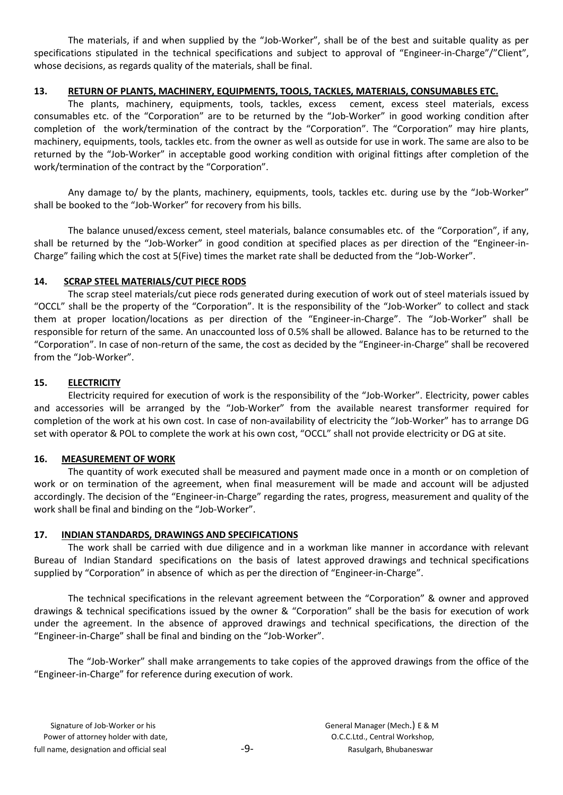The materials, if and when supplied by the "Job-Worker", shall be of the best and suitable quality as per specifications stipulated in the technical specifications and subject to approval of "Engineer-in-Charge"/"Client", whose decisions, as regards quality of the materials, shall be final.

# 13. RETURN OF PLANTS, MACHINERY, EQUIPMENTS, TOOLS, TACKLES, MATERIALS, CONSUMABLES ETC.

The plants, machinery, equipments, tools, tackles, excess cement, excess steel materials, excess consumables etc. of the "Corporation" are to be returned by the "Job-Worker" in good working condition after completion of the work/termination of the contract by the "Corporation". The "Corporation" may hire plants, machinery, equipments, tools, tackles etc. from the owner as well as outside for use in work. The same are also to be returned by the "Job-Worker" in acceptable good working condition with original fittings after completion of the work/termination of the contract by the "Corporation".

Any damage to/ by the plants, machinery, equipments, tools, tackles etc. during use by the "Job-Worker" shall be booked to the "Job-Worker" for recovery from his bills.

The balance unused/excess cement, steel materials, balance consumables etc. of the "Corporation", if any, shall be returned by the "Job-Worker" in good condition at specified places as per direction of the "Engineer-in-Charge" failing which the cost at 5(Five) times the market rate shall be deducted from the "Job-Worker".

# 14. SCRAP STEEL MATERIALS/CUT PIECE RODS

The scrap steel materials/cut piece rods generated during execution of work out of steel materials issued by "OCCL" shall be the property of the "Corporation". It is the responsibility of the "Job-Worker" to collect and stack them at proper location/locations as per direction of the "Engineer-in-Charge". The "Job-Worker" shall be responsible for return of the same. An unaccounted loss of 0.5% shall be allowed. Balance has to be returned to the "Corporation". In case of non-return of the same, the cost as decided by the "Engineer-in-Charge" shall be recovered from the "Job-Worker".

# 15. ELECTRICITY

Electricity required for execution of work is the responsibility of the "Job-Worker". Electricity, power cables and accessories will be arranged by the "Job-Worker" from the available nearest transformer required for completion of the work at his own cost. In case of non-availability of electricity the "Job-Worker" has to arrange DG set with operator & POL to complete the work at his own cost, "OCCL" shall not provide electricity or DG at site.

# 16. MEASUREMENT OF WORK

The quantity of work executed shall be measured and payment made once in a month or on completion of work or on termination of the agreement, when final measurement will be made and account will be adjusted accordingly. The decision of the "Engineer-in-Charge" regarding the rates, progress, measurement and quality of the work shall be final and binding on the "Job-Worker".

# 17. INDIAN STANDARDS, DRAWINGS AND SPECIFICATIONS

The work shall be carried with due diligence and in a workman like manner in accordance with relevant Bureau of Indian Standard specifications on the basis of latest approved drawings and technical specifications supplied by "Corporation" in absence of which as per the direction of "Engineer-in-Charge".

The technical specifications in the relevant agreement between the "Corporation" & owner and approved drawings & technical specifications issued by the owner & "Corporation" shall be the basis for execution of work under the agreement. In the absence of approved drawings and technical specifications, the direction of the "Engineer-in-Charge" shall be final and binding on the "Job-Worker".

The "Job-Worker" shall make arrangements to take copies of the approved drawings from the office of the "Engineer-in-Charge" for reference during execution of work.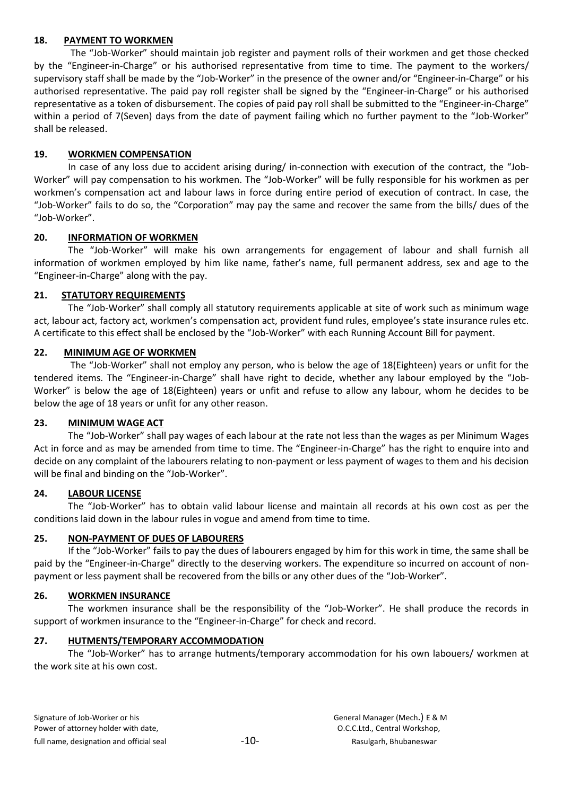### 18. PAYMENT TO WORKMEN

The "Job-Worker" should maintain job register and payment rolls of their workmen and get those checked by the "Engineer-in-Charge" or his authorised representative from time to time. The payment to the workers/ supervisory staff shall be made by the "Job-Worker" in the presence of the owner and/or "Engineer-in-Charge" or his authorised representative. The paid pay roll register shall be signed by the "Engineer-in-Charge" or his authorised representative as a token of disbursement. The copies of paid pay roll shall be submitted to the "Engineer-in-Charge" within a period of 7(Seven) days from the date of payment failing which no further payment to the "Job-Worker" shall be released.

### 19. WORKMEN COMPENSATION

In case of any loss due to accident arising during/ in-connection with execution of the contract, the "Job-Worker" will pay compensation to his workmen. The "Job-Worker" will be fully responsible for his workmen as per workmen's compensation act and labour laws in force during entire period of execution of contract. In case, the "Job-Worker" fails to do so, the "Corporation" may pay the same and recover the same from the bills/ dues of the "Job-Worker".

### 20. INFORMATION OF WORKMEN

The "Job-Worker" will make his own arrangements for engagement of labour and shall furnish all information of workmen employed by him like name, father's name, full permanent address, sex and age to the "Engineer-in-Charge" along with the pay.

### 21. STATUTORY REQUIREMENTS

The "Job-Worker" shall comply all statutory requirements applicable at site of work such as minimum wage act, labour act, factory act, workmen's compensation act, provident fund rules, employee's state insurance rules etc. A certificate to this effect shall be enclosed by the "Job-Worker" with each Running Account Bill for payment.

### 22. MINIMUM AGE OF WORKMEN

The "Job-Worker" shall not employ any person, who is below the age of 18(Eighteen) years or unfit for the tendered items. The "Engineer-in-Charge" shall have right to decide, whether any labour employed by the "Job-Worker" is below the age of 18(Eighteen) years or unfit and refuse to allow any labour, whom he decides to be below the age of 18 years or unfit for any other reason.

### 23. MINIMUM WAGE ACT

The "Job-Worker" shall pay wages of each labour at the rate not less than the wages as per Minimum Wages Act in force and as may be amended from time to time. The "Engineer-in-Charge" has the right to enquire into and decide on any complaint of the labourers relating to non-payment or less payment of wages to them and his decision will be final and binding on the "Job-Worker".

### 24. LABOUR LICENSE

The "Job-Worker" has to obtain valid labour license and maintain all records at his own cost as per the conditions laid down in the labour rules in vogue and amend from time to time.

### 25. NON-PAYMENT OF DUES OF LABOURERS

If the "Job-Worker" fails to pay the dues of labourers engaged by him for this work in time, the same shall be paid by the "Engineer-in-Charge" directly to the deserving workers. The expenditure so incurred on account of nonpayment or less payment shall be recovered from the bills or any other dues of the "Job-Worker".

### 26. WORKMEN INSURANCE

The workmen insurance shall be the responsibility of the "Job-Worker". He shall produce the records in support of workmen insurance to the "Engineer-in-Charge" for check and record.

### 27. HUTMENTS/TEMPORARY ACCOMMODATION

The "Job-Worker" has to arrange hutments/temporary accommodation for his own labouers/ workmen at the work site at his own cost.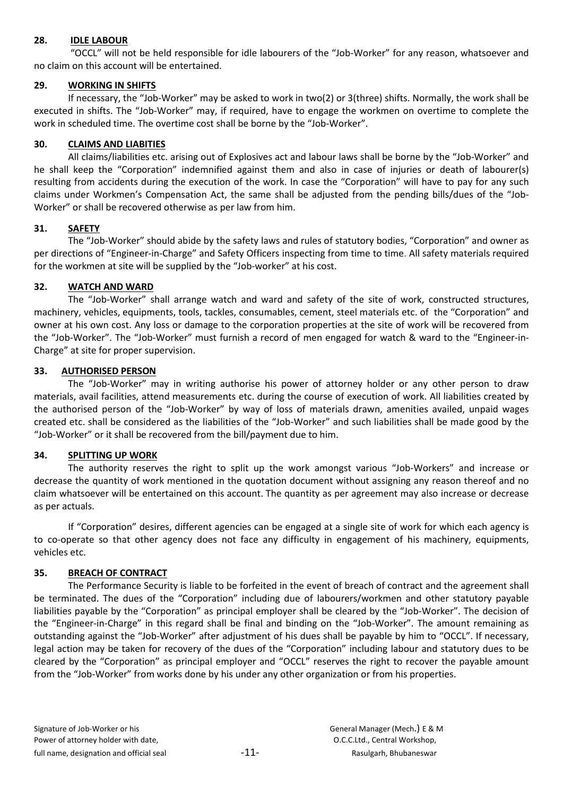### 28. IDLE LABOUR

"OCCL" will not be held responsible for idle labourers of the "Job-Worker" for any reason, whatsoever and no claim on this account will be entertained.

# 29. WORKING IN SHIFTS

If necessary, the "Job-Worker" may be asked to work in two(2) or 3(three) shifts. Normally, the work shall be executed in shifts. The "Job-Worker" may, if required, have to engage the workmen on overtime to complete the work in scheduled time. The overtime cost shall be borne by the "Job-Worker".

### 30. CLAIMS AND LIABITIES

All claims/liabilities etc. arising out of Explosives act and labour laws shall be borne by the "Job-Worker" and he shall keep the "Corporation" indemnified against them and also in case of injuries or death of labourer(s) resulting from accidents during the execution of the work. In case the "Corporation" will have to pay for any such claims under Workmen's Compensation Act, the same shall be adjusted from the pending bills/dues of the "Job-Worker" or shall be recovered otherwise as per law from him.

# 31. SAFETY

The "Job-Worker" should abide by the safety laws and rules of statutory bodies, "Corporation" and owner as per directions of "Engineer-in-Charge" and Safety Officers inspecting from time to time. All safety materials required for the workmen at site will be supplied by the "Job-worker" at his cost.

### 32. WATCH AND WARD

The "Job-Worker" shall arrange watch and ward and safety of the site of work, constructed structures, machinery, vehicles, equipments, tools, tackles, consumables, cement, steel materials etc. of the "Corporation" and owner at his own cost. Any loss or damage to the corporation properties at the site of work will be recovered from the "Job-Worker". The "Job-Worker" must furnish a record of men engaged for watch & ward to the "Engineer-in-Charge" at site for proper supervision.

### 33. AUTHORISED PERSON

The "Job-Worker" may in writing authorise his power of attorney holder or any other person to draw materials, avail facilities, attend measurements etc. during the course of execution of work. All liabilities created by the authorised person of the "Job-Worker" by way of loss of materials drawn, amenities availed, unpaid wages created etc. shall be considered as the liabilities of the "Job-Worker" and such liabilities shall be made good by the "Job-Worker" or it shall be recovered from the bill/payment due to him.

### 34. SPLITTING UP WORK

The authority reserves the right to split up the work amongst various "Job-Workers" and increase or decrease the quantity of work mentioned in the quotation document without assigning any reason thereof and no claim whatsoever will be entertained on this account. The quantity as per agreement may also increase or decrease as per actuals.

If "Corporation" desires, different agencies can be engaged at a single site of work for which each agency is to co-operate so that other agency does not face any difficulty in engagement of his machinery, equipments, vehicles etc.

# 35. BREACH OF CONTRACT

The Performance Security is liable to be forfeited in the event of breach of contract and the agreement shall be terminated. The dues of the "Corporation" including due of labourers/workmen and other statutory payable liabilities payable by the "Corporation" as principal employer shall be cleared by the "Job-Worker". The decision of the "Engineer-in-Charge" in this regard shall be final and binding on the "Job-Worker". The amount remaining as outstanding against the "Job-Worker" after adjustment of his dues shall be payable by him to "OCCL". If necessary, legal action may be taken for recovery of the dues of the "Corporation" including labour and statutory dues to be cleared by the "Corporation" as principal employer and "OCCL" reserves the right to recover the payable amount from the "Job-Worker" from works done by his under any other organization or from his properties.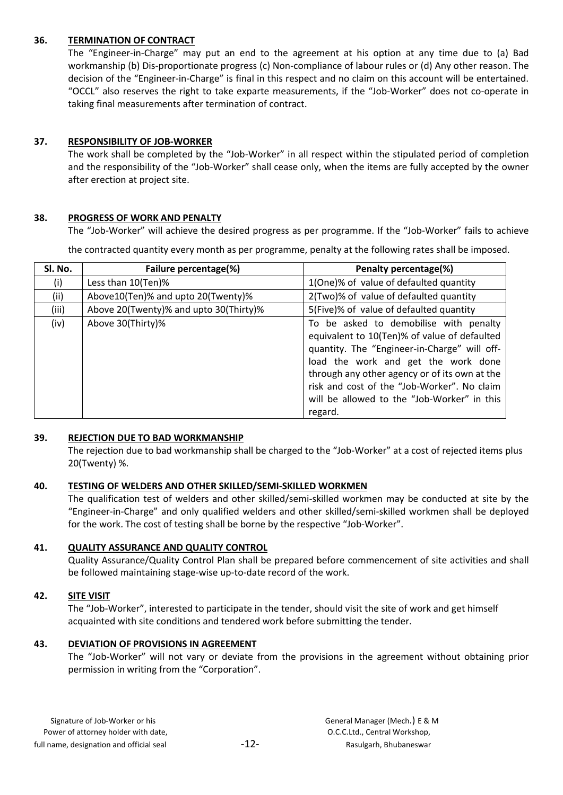### 36. TERMINATION OF CONTRACT

The "Engineer-in-Charge" may put an end to the agreement at his option at any time due to (a) Bad workmanship (b) Dis-proportionate progress (c) Non-compliance of labour rules or (d) Any other reason. The decision of the "Engineer-in-Charge" is final in this respect and no claim on this account will be entertained. "OCCL" also reserves the right to take exparte measurements, if the "Job-Worker" does not co-operate in taking final measurements after termination of contract.

### 37. RESPONSIBILITY OF JOB-WORKER

The work shall be completed by the "Job-Worker" in all respect within the stipulated period of completion and the responsibility of the "Job-Worker" shall cease only, when the items are fully accepted by the owner after erection at project site.

### 38. PROGRESS OF WORK AND PENALTY

The "Job-Worker" will achieve the desired progress as per programme. If the "Job-Worker" fails to achieve

the contracted quantity every month as per programme, penalty at the following rates shall be imposed.

| Sl. No. | Failure percentage(%)                  | Penalty percentage(%)                                                                                                                                                                                                                                                                                                                   |
|---------|----------------------------------------|-----------------------------------------------------------------------------------------------------------------------------------------------------------------------------------------------------------------------------------------------------------------------------------------------------------------------------------------|
| (i)     | Less than 10(Ten)%                     | 1(One)% of value of defaulted quantity                                                                                                                                                                                                                                                                                                  |
| (ii)    | Above10(Ten)% and upto 20(Twenty)%     | 2(Two)% of value of defaulted quantity                                                                                                                                                                                                                                                                                                  |
| (iii)   | Above 20(Twenty)% and upto 30(Thirty)% | 5(Five)% of value of defaulted quantity                                                                                                                                                                                                                                                                                                 |
| (iv)    | Above 30(Thirty)%                      | To be asked to demobilise with penalty<br>equivalent to 10(Ten)% of value of defaulted<br>quantity. The "Engineer-in-Charge" will off-<br>load the work and get the work done<br>through any other agency or of its own at the<br>risk and cost of the "Job-Worker". No claim<br>will be allowed to the "Job-Worker" in this<br>regard. |

### 39. REJECTION DUE TO BAD WORKMANSHIP

The rejection due to bad workmanship shall be charged to the "Job-Worker" at a cost of rejected items plus 20(Twenty) %.

### 40. TESTING OF WELDERS AND OTHER SKILLED/SEMI-SKILLED WORKMEN

The qualification test of welders and other skilled/semi-skilled workmen may be conducted at site by the "Engineer-in-Charge" and only qualified welders and other skilled/semi-skilled workmen shall be deployed for the work. The cost of testing shall be borne by the respective "Job-Worker".

# 41. QUALITY ASSURANCE AND QUALITY CONTROL

Quality Assurance/Quality Control Plan shall be prepared before commencement of site activities and shall be followed maintaining stage-wise up-to-date record of the work.

# 42. SITE VISIT

The "Job-Worker", interested to participate in the tender, should visit the site of work and get himself acquainted with site conditions and tendered work before submitting the tender.

# 43. DEVIATION OF PROVISIONS IN AGREEMENT

The "Job-Worker" will not vary or deviate from the provisions in the agreement without obtaining prior permission in writing from the "Corporation".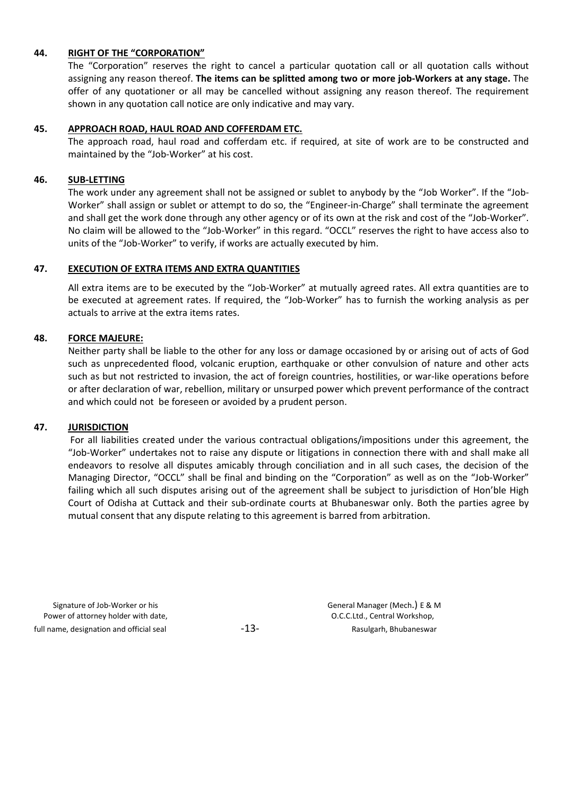#### 44. RIGHT OF THE "CORPORATION"

The "Corporation" reserves the right to cancel a particular quotation call or all quotation calls without assigning any reason thereof. The items can be splitted among two or more job-Workers at any stage. The offer of any quotationer or all may be cancelled without assigning any reason thereof. The requirement shown in any quotation call notice are only indicative and may vary.

#### 45. APPROACH ROAD, HAUL ROAD AND COFFERDAM ETC.

The approach road, haul road and cofferdam etc. if required, at site of work are to be constructed and maintained by the "Job-Worker" at his cost.

#### 46. SUB-LETTING

The work under any agreement shall not be assigned or sublet to anybody by the "Job Worker". If the "Job-Worker" shall assign or sublet or attempt to do so, the "Engineer-in-Charge" shall terminate the agreement and shall get the work done through any other agency or of its own at the risk and cost of the "Job-Worker". No claim will be allowed to the "Job-Worker" in this regard. "OCCL" reserves the right to have access also to units of the "Job-Worker" to verify, if works are actually executed by him.

#### 47. EXECUTION OF EXTRA ITEMS AND EXTRA QUANTITIES

All extra items are to be executed by the "Job-Worker" at mutually agreed rates. All extra quantities are to be executed at agreement rates. If required, the "Job-Worker" has to furnish the working analysis as per actuals to arrive at the extra items rates.

#### 48. FORCE MAJEURE:

Neither party shall be liable to the other for any loss or damage occasioned by or arising out of acts of God such as unprecedented flood, volcanic eruption, earthquake or other convulsion of nature and other acts such as but not restricted to invasion, the act of foreign countries, hostilities, or war-like operations before or after declaration of war, rebellion, military or unsurped power which prevent performance of the contract and which could not be foreseen or avoided by a prudent person.

#### 47. JURISDICTION

For all liabilities created under the various contractual obligations/impositions under this agreement, the "Job-Worker" undertakes not to raise any dispute or litigations in connection there with and shall make all endeavors to resolve all disputes amicably through conciliation and in all such cases, the decision of the Managing Director, "OCCL" shall be final and binding on the "Corporation" as well as on the "Job-Worker" failing which all such disputes arising out of the agreement shall be subject to jurisdiction of Hon'ble High Court of Odisha at Cuttack and their sub-ordinate courts at Bhubaneswar only. Both the parties agree by mutual consent that any dispute relating to this agreement is barred from arbitration.

Signature of Job-Worker or his General Manager (Mech.) E & M Power of attorney holder with date,  $O.C.C.L.d.,$  Central Workshop, full name, designation and official seal  $-13 -13-$  Rasulgarh, Bhubaneswar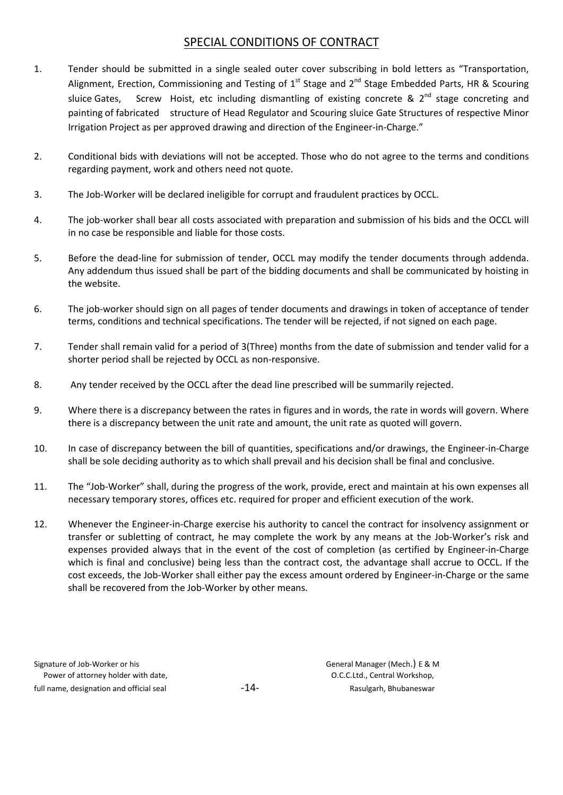# SPECIAL CONDITIONS OF CONTRACT

- 1. Tender should be submitted in a single sealed outer cover subscribing in bold letters as "Transportation, Alignment, Erection, Commissioning and Testing of 1<sup>st</sup> Stage and 2<sup>nd</sup> Stage Embedded Parts, HR & Scouring sluice Gates, Screw Hoist, etc including dismantling of existing concrete &  $2^{nd}$  stage concreting and painting of fabricated structure of Head Regulator and Scouring sluice Gate Structures of respective Minor Irrigation Project as per approved drawing and direction of the Engineer-in-Charge."
- 2. Conditional bids with deviations will not be accepted. Those who do not agree to the terms and conditions regarding payment, work and others need not quote.
- 3. The Job-Worker will be declared ineligible for corrupt and fraudulent practices by OCCL.
- 4. The job-worker shall bear all costs associated with preparation and submission of his bids and the OCCL will in no case be responsible and liable for those costs.
- 5. Before the dead-line for submission of tender, OCCL may modify the tender documents through addenda. Any addendum thus issued shall be part of the bidding documents and shall be communicated by hoisting in the website.
- 6. The job-worker should sign on all pages of tender documents and drawings in token of acceptance of tender terms, conditions and technical specifications. The tender will be rejected, if not signed on each page.
- 7. Tender shall remain valid for a period of 3(Three) months from the date of submission and tender valid for a shorter period shall be rejected by OCCL as non-responsive.
- 8. Any tender received by the OCCL after the dead line prescribed will be summarily rejected.
- 9. Where there is a discrepancy between the rates in figures and in words, the rate in words will govern. Where there is a discrepancy between the unit rate and amount, the unit rate as quoted will govern.
- 10. In case of discrepancy between the bill of quantities, specifications and/or drawings, the Engineer-in-Charge shall be sole deciding authority as to which shall prevail and his decision shall be final and conclusive.
- 11. The "Job-Worker" shall, during the progress of the work, provide, erect and maintain at his own expenses all necessary temporary stores, offices etc. required for proper and efficient execution of the work.
- 12. Whenever the Engineer-in-Charge exercise his authority to cancel the contract for insolvency assignment or transfer or subletting of contract, he may complete the work by any means at the Job-Worker's risk and expenses provided always that in the event of the cost of completion (as certified by Engineer-in-Charge which is final and conclusive) being less than the contract cost, the advantage shall accrue to OCCL. If the cost exceeds, the Job-Worker shall either pay the excess amount ordered by Engineer-in-Charge or the same shall be recovered from the Job-Worker by other means.

| Signature of Job-Worker or his           |
|------------------------------------------|
| Power of attorney holder with date,      |
| full name, designation and official seal |

General Manager (Mech.) E & M O.C.C.Ltd., Central Workshop, -14- Full name, Rasulgarh, Bhubaneswar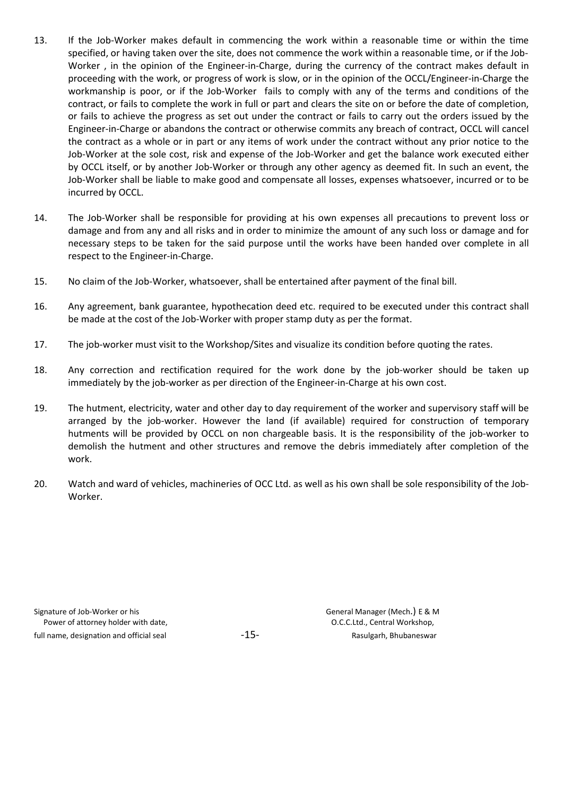- 13. If the Job-Worker makes default in commencing the work within a reasonable time or within the time specified, or having taken over the site, does not commence the work within a reasonable time, or if the Job-Worker , in the opinion of the Engineer-in-Charge, during the currency of the contract makes default in proceeding with the work, or progress of work is slow, or in the opinion of the OCCL/Engineer-in-Charge the workmanship is poor, or if the Job-Worker fails to comply with any of the terms and conditions of the contract, or fails to complete the work in full or part and clears the site on or before the date of completion, or fails to achieve the progress as set out under the contract or fails to carry out the orders issued by the Engineer-in-Charge or abandons the contract or otherwise commits any breach of contract, OCCL will cancel the contract as a whole or in part or any items of work under the contract without any prior notice to the Job-Worker at the sole cost, risk and expense of the Job-Worker and get the balance work executed either by OCCL itself, or by another Job-Worker or through any other agency as deemed fit. In such an event, the Job-Worker shall be liable to make good and compensate all losses, expenses whatsoever, incurred or to be incurred by OCCL.
- 14. The Job-Worker shall be responsible for providing at his own expenses all precautions to prevent loss or damage and from any and all risks and in order to minimize the amount of any such loss or damage and for necessary steps to be taken for the said purpose until the works have been handed over complete in all respect to the Engineer-in-Charge.
- 15. No claim of the Job-Worker, whatsoever, shall be entertained after payment of the final bill.
- 16. Any agreement, bank guarantee, hypothecation deed etc. required to be executed under this contract shall be made at the cost of the Job-Worker with proper stamp duty as per the format.
- 17. The job-worker must visit to the Workshop/Sites and visualize its condition before quoting the rates.
- 18. Any correction and rectification required for the work done by the job-worker should be taken up immediately by the job-worker as per direction of the Engineer-in-Charge at his own cost.
- 19. The hutment, electricity, water and other day to day requirement of the worker and supervisory staff will be arranged by the job-worker. However the land (if available) required for construction of temporary hutments will be provided by OCCL on non chargeable basis. It is the responsibility of the job-worker to demolish the hutment and other structures and remove the debris immediately after completion of the work.
- 20. Watch and ward of vehicles, machineries of OCC Ltd. as well as his own shall be sole responsibility of the Job-Worker.

Signature of Job-Worker or his **Signature of Job-Worker or his Constanting Constanting Constanting Constanting Constanting Constanting Constanting Constanting Constanting Constanting Constanting Constanting Constanting Con** Power of attorney holder with date,  $O.C.C.L.d.,$  Central Workshop, full name, designation and official seal  $-15 -15-$  Rasulgarh, Bhubaneswar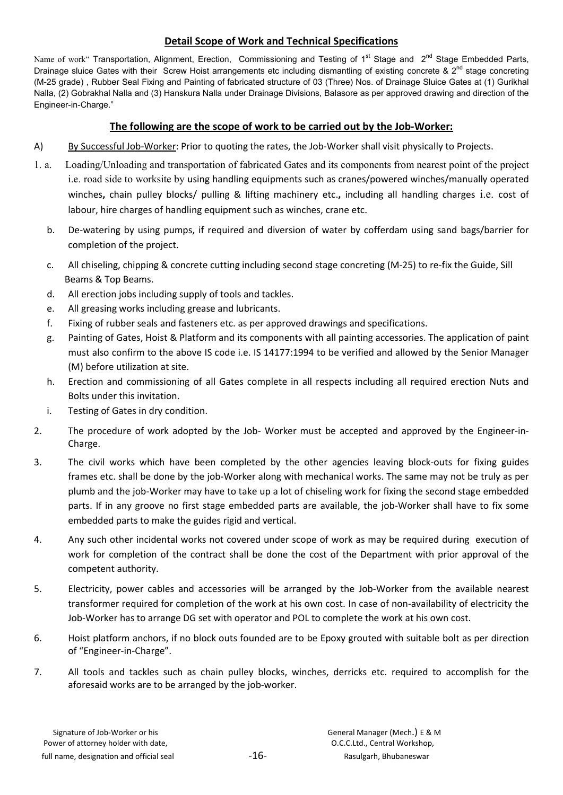# Detail Scope of Work and Technical Specifications

Name of work" Transportation, Alignment, Erection, Commissioning and Testing of 1<sup>st</sup> Stage and 2<sup>nd</sup> Stage Embedded Parts, Drainage sluice Gates with their Screw Hoist arrangements etc including dismantling of existing concrete  $\& 2^{nd}$  stage concreting (M-25 grade) , Rubber Seal Fixing and Painting of fabricated structure of 03 (Three) Nos. of Drainage Sluice Gates at (1) Gurikhal Nalla, (2) Gobrakhal Nalla and (3) Hanskura Nalla under Drainage Divisions, Balasore as per approved drawing and direction of the Engineer-in-Charge."

# The following are the scope of work to be carried out by the Job-Worker:

- A) By Successful Job-Worker: Prior to quoting the rates, the Job-Worker shall visit physically to Projects.
- 1. a. Loading/Unloading and transportation of fabricated Gates and its components from nearest point of the project i.e. road side to worksite by using handling equipments such as cranes/powered winches/manually operated winches, chain pulley blocks/ pulling & lifting machinery etc., including all handling charges i.e. cost of labour, hire charges of handling equipment such as winches, crane etc.
	- b. De-watering by using pumps, if required and diversion of water by cofferdam using sand bags/barrier for completion of the project.
	- c. All chiseling, chipping & concrete cutting including second stage concreting (M-25) to re-fix the Guide, Sill Beams & Top Beams.
	- d. All erection jobs including supply of tools and tackles.
	- e. All greasing works including grease and lubricants.
	- f. Fixing of rubber seals and fasteners etc. as per approved drawings and specifications.
	- g. Painting of Gates, Hoist & Platform and its components with all painting accessories. The application of paint must also confirm to the above IS code i.e. IS 14177:1994 to be verified and allowed by the Senior Manager (M) before utilization at site.
	- h. Erection and commissioning of all Gates complete in all respects including all required erection Nuts and Bolts under this invitation.
	- i. Testing of Gates in dry condition.
- 2. The procedure of work adopted by the Job- Worker must be accepted and approved by the Engineer-in-Charge.
- 3. The civil works which have been completed by the other agencies leaving block-outs for fixing guides frames etc. shall be done by the job-Worker along with mechanical works. The same may not be truly as per plumb and the job-Worker may have to take up a lot of chiseling work for fixing the second stage embedded parts. If in any groove no first stage embedded parts are available, the job-Worker shall have to fix some embedded parts to make the guides rigid and vertical.
- 4. Any such other incidental works not covered under scope of work as may be required during execution of work for completion of the contract shall be done the cost of the Department with prior approval of the competent authority.
- 5. Electricity, power cables and accessories will be arranged by the Job-Worker from the available nearest transformer required for completion of the work at his own cost. In case of non-availability of electricity the Job-Worker has to arrange DG set with operator and POL to complete the work at his own cost.
- 6. Hoist platform anchors, if no block outs founded are to be Epoxy grouted with suitable bolt as per direction of "Engineer-in-Charge".
- 7. All tools and tackles such as chain pulley blocks, winches, derricks etc. required to accomplish for the aforesaid works are to be arranged by the job-worker.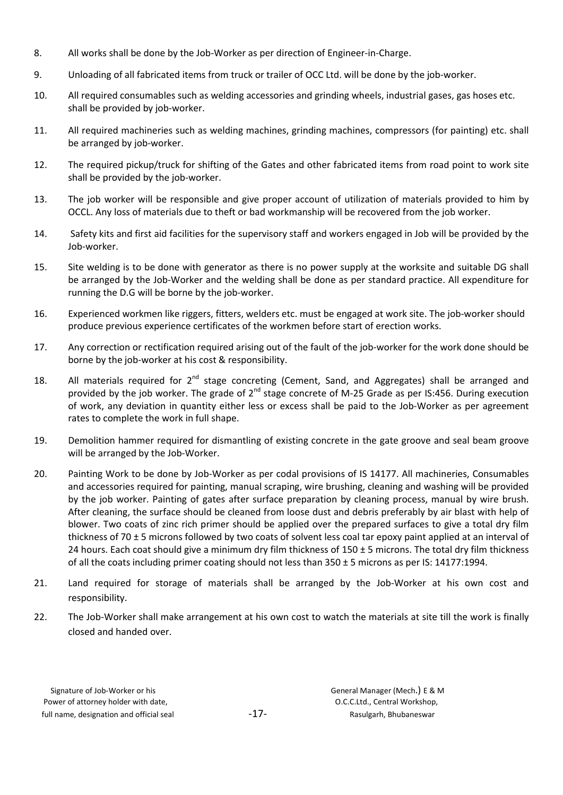- 8. All works shall be done by the Job-Worker as per direction of Engineer-in-Charge.
- 9. Unloading of all fabricated items from truck or trailer of OCC Ltd. will be done by the job-worker.
- 10. All required consumables such as welding accessories and grinding wheels, industrial gases, gas hoses etc. shall be provided by job-worker.
- 11. All required machineries such as welding machines, grinding machines, compressors (for painting) etc. shall be arranged by job-worker.
- 12. The required pickup/truck for shifting of the Gates and other fabricated items from road point to work site shall be provided by the job-worker.
- 13. The job worker will be responsible and give proper account of utilization of materials provided to him by OCCL. Any loss of materials due to theft or bad workmanship will be recovered from the job worker.
- 14. Safety kits and first aid facilities for the supervisory staff and workers engaged in Job will be provided by the Job-worker.
- 15. Site welding is to be done with generator as there is no power supply at the worksite and suitable DG shall be arranged by the Job-Worker and the welding shall be done as per standard practice. All expenditure for running the D.G will be borne by the job-worker.
- 16. Experienced workmen like riggers, fitters, welders etc. must be engaged at work site. The job-worker should produce previous experience certificates of the workmen before start of erection works.
- 17. Any correction or rectification required arising out of the fault of the job-worker for the work done should be borne by the job-worker at his cost & responsibility.
- 18. All materials required for 2<sup>nd</sup> stage concreting (Cement, Sand, and Aggregates) shall be arranged and provided by the job worker. The grade of 2<sup>nd</sup> stage concrete of M-25 Grade as per IS:456. During execution of work, any deviation in quantity either less or excess shall be paid to the Job-Worker as per agreement rates to complete the work in full shape.
- 19. Demolition hammer required for dismantling of existing concrete in the gate groove and seal beam groove will be arranged by the Job-Worker.
- 20. Painting Work to be done by Job-Worker as per codal provisions of IS 14177. All machineries, Consumables and accessories required for painting, manual scraping, wire brushing, cleaning and washing will be provided by the job worker. Painting of gates after surface preparation by cleaning process, manual by wire brush. After cleaning, the surface should be cleaned from loose dust and debris preferably by air blast with help of blower. Two coats of zinc rich primer should be applied over the prepared surfaces to give a total dry film thickness of 70 ± 5 microns followed by two coats of solvent less coal tar epoxy paint applied at an interval of 24 hours. Each coat should give a minimum dry film thickness of  $150 \pm 5$  microns. The total dry film thickness of all the coats including primer coating should not less than 350 ± 5 microns as per IS: 14177:1994.
- 21. Land required for storage of materials shall be arranged by the Job-Worker at his own cost and responsibility.
- 22. The Job-Worker shall make arrangement at his own cost to watch the materials at site till the work is finally closed and handed over.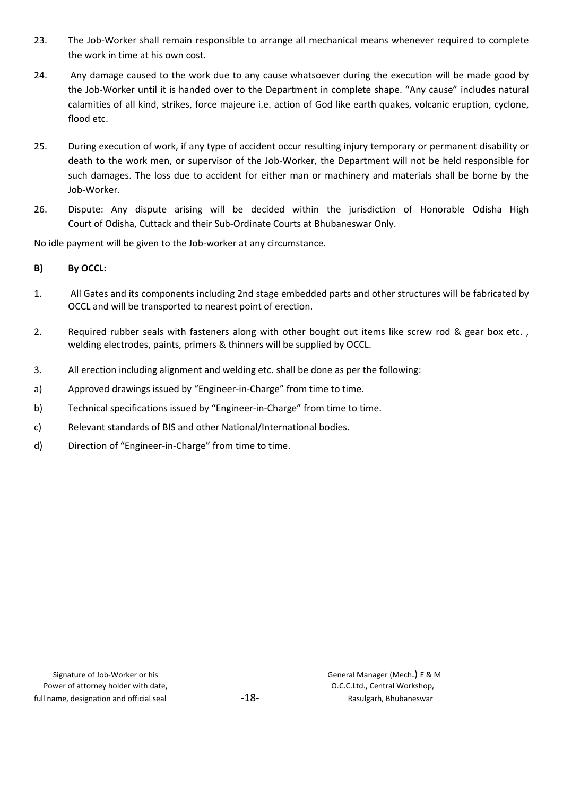- 23. The Job-Worker shall remain responsible to arrange all mechanical means whenever required to complete the work in time at his own cost.
- 24. Any damage caused to the work due to any cause whatsoever during the execution will be made good by the Job-Worker until it is handed over to the Department in complete shape. "Any cause" includes natural calamities of all kind, strikes, force majeure i.e. action of God like earth quakes, volcanic eruption, cyclone, flood etc.
- 25. During execution of work, if any type of accident occur resulting injury temporary or permanent disability or death to the work men, or supervisor of the Job-Worker, the Department will not be held responsible for such damages. The loss due to accident for either man or machinery and materials shall be borne by the Job-Worker.
- 26. Dispute: Any dispute arising will be decided within the jurisdiction of Honorable Odisha High Court of Odisha, Cuttack and their Sub-Ordinate Courts at Bhubaneswar Only.

27. No idle payment will be given to the Job-worker at any circumstance.

### B) By OCCL:

- 1. All Gates and its components including 2nd stage embedded parts and other structures will be fabricated by OCCL and will be transported to nearest point of erection.
- 2. Required rubber seals with fasteners along with other bought out items like screw rod & gear box etc. , welding electrodes, paints, primers & thinners will be supplied by OCCL.
- 3. All erection including alignment and welding etc. shall be done as per the following:
- a) Approved drawings issued by "Engineer-in-Charge" from time to time.
- b) Technical specifications issued by "Engineer-in-Charge" from time to time.
- c) Relevant standards of BIS and other National/International bodies.
- d) Direction of "Engineer-in-Charge" from time to time.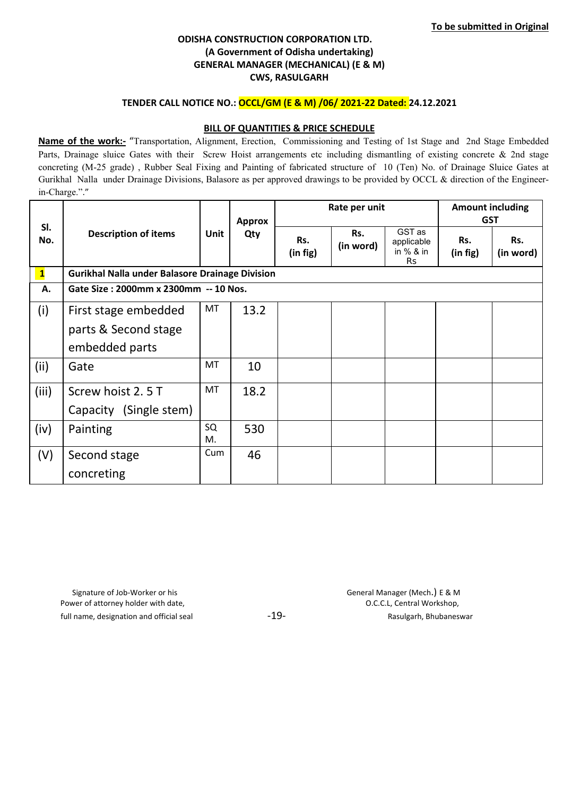## ODISHA CONSTRUCTION CORPORATION LTD. (A Government of Odisha undertaking) GENERAL MANAGER (MECHANICAL) (E & M) CWS, RASULGARH

### TENDER CALL NOTICE NO.: OCCL/GM (E & M) /06/ 2021-22 Dated: 24.12.2021

#### **BILL OF QUANTITIES & PRICE SCHEDULE**

Name of the work:- "Transportation, Alignment, Erection, Commissioning and Testing of 1st Stage and 2nd Stage Embedded Parts, Drainage sluice Gates with their Screw Hoist arrangements etc including dismantling of existing concrete & 2nd stage concreting (M-25 grade) , Rubber Seal Fixing and Painting of fabricated structure of 10 (Ten) No. of Drainage Sluice Gates at Gurikhal Nalla under Drainage Divisions, Balasore as per approved drawings to be provided by OCCL & direction of the Engineerin-Charge."."

|              | <b>Description of items</b>                     | <b>Unit</b> | <b>Approx</b><br>Qty | Rate per unit   |                  |                                           | <b>Amount including</b><br><b>GST</b> |                  |
|--------------|-------------------------------------------------|-------------|----------------------|-----------------|------------------|-------------------------------------------|---------------------------------------|------------------|
| SI.<br>No.   |                                                 |             |                      | Rs.<br>(in fig) | Rs.<br>(in word) | GST as<br>applicable<br>in $%$ & in<br>Rs | Rs.<br>(in fig)                       | Rs.<br>(in word) |
| $\mathbf{1}$ | Gurikhal Nalla under Balasore Drainage Division |             |                      |                 |                  |                                           |                                       |                  |
| А.           | Gate Size: 2000mm x 2300mm -- 10 Nos.           |             |                      |                 |                  |                                           |                                       |                  |
| (i)          | First stage embedded                            | MT          | 13.2                 |                 |                  |                                           |                                       |                  |
|              | parts & Second stage                            |             |                      |                 |                  |                                           |                                       |                  |
|              | embedded parts                                  |             |                      |                 |                  |                                           |                                       |                  |
| (ii)         | Gate                                            | MT          | 10                   |                 |                  |                                           |                                       |                  |
| (iii)        | Screw hoist 2.5 T                               | <b>MT</b>   | 18.2                 |                 |                  |                                           |                                       |                  |
|              | Capacity (Single stem)                          |             |                      |                 |                  |                                           |                                       |                  |
| (iv)         | Painting                                        | SQ<br>M.    | 530                  |                 |                  |                                           |                                       |                  |
| (V)          | Second stage                                    | Cum         | 46                   |                 |                  |                                           |                                       |                  |
|              | concreting                                      |             |                      |                 |                  |                                           |                                       |                  |

 Signature of Job-Worker or his General Manager (Mech.) E & M Power of attorney holder with date,  $O.C.C.L$ , Central Workshop, full name, designation and official seal example  $-19-$  and  $-19-$  Rasulgarh, Bhubaneswar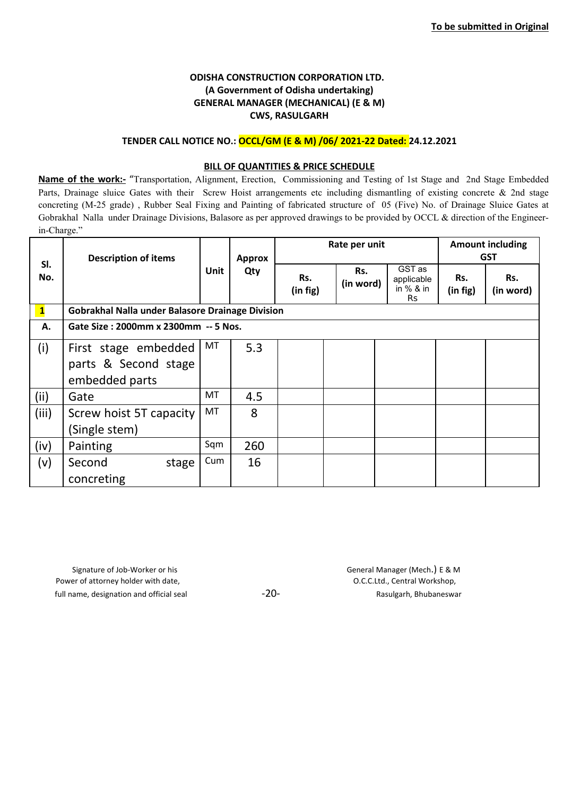# ODISHA CONSTRUCTION CORPORATION LTD. (A Government of Odisha undertaking) GENERAL MANAGER (MECHANICAL) (E & M) CWS, RASULGARH

#### TENDER CALL NOTICE NO.: OCCL/GM (E & M) /06/ 2021-22 Dated: 24.12.2021

#### **BILL OF QUANTITIES & PRICE SCHEDULE**

Name of the work:- "Transportation, Alignment, Erection, Commissioning and Testing of 1st Stage and 2nd Stage Embedded Parts, Drainage sluice Gates with their Screw Hoist arrangements etc including dismantling of existing concrete & 2nd stage concreting (M-25 grade) , Rubber Seal Fixing and Painting of fabricated structure of 05 (Five) No. of Drainage Sluice Gates at Gobrakhal Nalla under Drainage Divisions, Balasore as per approved drawings to be provided by OCCL & direction of the Engineerin-Charge."

|                         | <b>Description of items</b>                                    | Unit | <b>Approx</b><br>Qty |                 | Rate per unit    | <b>Amount including</b><br><b>GST</b>            |                 |                  |
|-------------------------|----------------------------------------------------------------|------|----------------------|-----------------|------------------|--------------------------------------------------|-----------------|------------------|
| SI.<br>No.              |                                                                |      |                      | Rs.<br>(in fig) | Rs.<br>(in word) | GST as<br>applicable<br>in $%$ & in<br><b>Rs</b> | Rs.<br>(in fig) | Rs.<br>(in word) |
| $\overline{\mathbf{1}}$ | Gobrakhal Nalla under Balasore Drainage Division               |      |                      |                 |                  |                                                  |                 |                  |
| А.                      | Gate Size: 2000mm x 2300mm -- 5 Nos.                           |      |                      |                 |                  |                                                  |                 |                  |
| (i)                     | First stage embedded<br>parts & Second stage<br>embedded parts | MT   | 5.3                  |                 |                  |                                                  |                 |                  |
| (ii)                    | Gate                                                           | MT   | 4.5                  |                 |                  |                                                  |                 |                  |
| (iii)                   | Screw hoist 5T capacity<br>(Single stem)                       | MT   | 8                    |                 |                  |                                                  |                 |                  |
| (iv)                    | Painting                                                       | Sqm  | 260                  |                 |                  |                                                  |                 |                  |
| (v)                     | Second<br>stage<br>concreting                                  | Cum  | 16                   |                 |                  |                                                  |                 |                  |

Signature of Job-Worker or his example a structure of Job-Worker or his example a structure of Job-Worker or his Power of attorney holder with date,  $O.C.C.L.d.,$  Central Workshop, full name, designation and official seal  $-20-$  -  $-$  Rasulgarh, Bhubaneswar